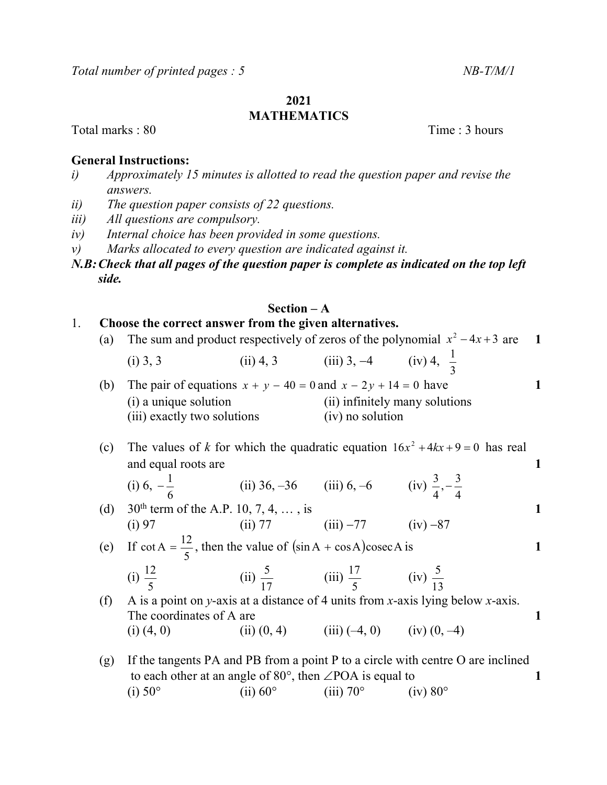# 2021

# **MATHEMATICS**

Total marks : 80 Time : 3 hours

# General Instructions:

- i) Approximately 15 minutes is allotted to read the question paper and revise the answers.
- ii) The question paper consists of 22 questions.
- iii) All questions are compulsory.
- iv) Internal choice has been provided in some questions.
- v) Marks allocated to every question are indicated against it.

# N.B: Check that all pages of the question paper is complete as indicated on the top left side.

# Section – A

# 1. Choose the correct answer from the given alternatives.

| (a) | The sum and product respectively of zeros of the polynomial $x^2 - 4x + 3$ are       |                                                              |                                              |                                                                                 | $\blacksquare$ |  |
|-----|--------------------------------------------------------------------------------------|--------------------------------------------------------------|----------------------------------------------|---------------------------------------------------------------------------------|----------------|--|
|     | $(i)$ 3, 3                                                                           |                                                              | (ii) 4, 3 (iii) 3, -4 (iv) 4, $\frac{1}{2}$  |                                                                                 |                |  |
| (b) | The pair of equations $x + y - 40 = 0$ and $x - 2y + 14 = 0$ have                    |                                                              |                                              |                                                                                 | 1              |  |
|     | (i) a unique solution                                                                |                                                              | (ii) infinitely many solutions               |                                                                                 |                |  |
|     | (iii) exactly two solutions                                                          |                                                              | (iv) no solution                             |                                                                                 |                |  |
| (c) |                                                                                      |                                                              |                                              | The values of k for which the quadratic equation $16x^2 + 4kx + 9 = 0$ has real |                |  |
|     | and equal roots are                                                                  |                                                              |                                              |                                                                                 | 1              |  |
|     | (i) 6, $-\frac{1}{6}$                                                                | (ii) 36, -36 (iii) 6, -6 (iv) $\frac{3}{4}$ , $-\frac{3}{4}$ |                                              |                                                                                 |                |  |
| (d) | 30 <sup>th</sup> term of the A.P. 10, 7, 4, , is                                     |                                                              |                                              |                                                                                 | 1              |  |
|     | (i) 97                                                                               | (ii) 77 (iii) $-77$ (iv) $-87$                               |                                              |                                                                                 |                |  |
|     | (e) If $\cot A = \frac{12}{5}$ , then the value of $(\sin A + \cos A)\csc A$ is<br>1 |                                                              |                                              |                                                                                 |                |  |
|     | (i) $\frac{12}{5}$                                                                   | (ii) $\frac{5}{17}$ (iii) $\frac{17}{5}$ (iv) $\frac{5}{12}$ |                                              |                                                                                 |                |  |
| (f) |                                                                                      |                                                              |                                              | A is a point on y-axis at a distance of 4 units from x-axis lying below x-axis. |                |  |
|     | The coordinates of A are<br>1                                                        |                                                              |                                              |                                                                                 |                |  |
|     | $(i)$ $(4, 0)$                                                                       |                                                              | (ii) $(0, 4)$ (iii) $(-4, 0)$ (iv) $(0, -4)$ |                                                                                 |                |  |
| (g) | If the tangents PA and PB from a point P to a circle with centre O are inclined      |                                                              |                                              |                                                                                 |                |  |
|     | to each other at an angle of $80^{\circ}$ , then $\angle$ POA is equal to<br>1       |                                                              |                                              |                                                                                 |                |  |

(i)  $50^{\circ}$  (ii)  $60^{\circ}$  (iii)  $70^{\circ}$  (iv)  $80^{\circ}$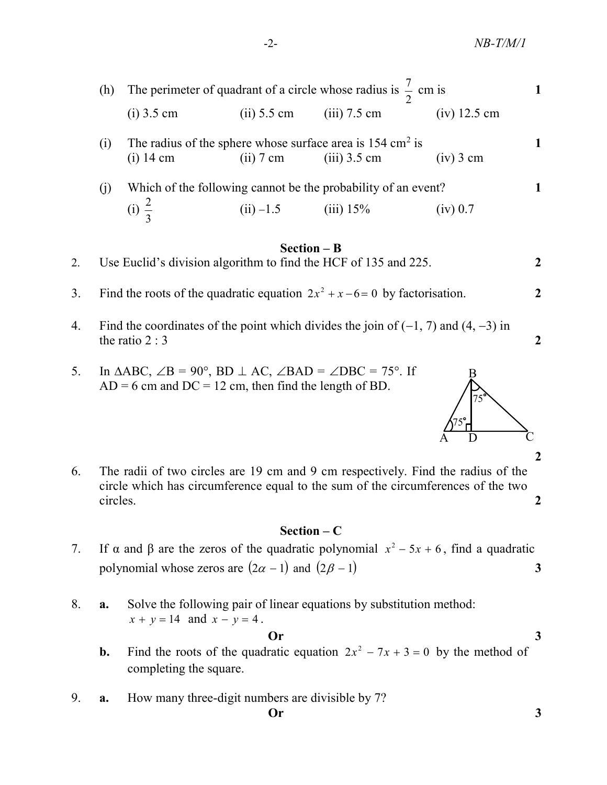| (h) | The perimeter of quadrant of a circle whose radius is $\frac{7}{2}$ cm is           |               |                                                                              |                |  |
|-----|-------------------------------------------------------------------------------------|---------------|------------------------------------------------------------------------------|----------------|--|
|     | $(i)$ 3.5 cm                                                                        | $(ii)$ 5.5 cm | $(iii)$ 7.5 cm                                                               | $(iv)$ 12.5 cm |  |
| (1) | The radius of the sphere whose surface area is $154 \text{ cm}^2$ is<br>$(i)$ 14 cm | $(ii)$ 7 cm   | $(iii)$ 3.5 cm                                                               | $(iv)$ 3 cm    |  |
| (1) | (i) $\frac{2}{2}$                                                                   | $(ii) -1.5$   | Which of the following cannot be the probability of an event?<br>$(iii)$ 15% | $(1V)$ 0.7     |  |

#### Section – B

3. Find the roots of the quadratic equation  $2x^2 + x - 6 = 0$  by factorisation.

- 4. Find the coordinates of the point which divides the join of  $(-1, 7)$  and  $(4, -3)$  in the ratio  $2:3$
- 5. In  $\triangle ABC$ ,  $\angle B = 90^\circ$ , BD  $\perp$  AC,  $\angle$ BAD =  $\angle$ DBC = 75°. If  $AD = 6$  cm and  $DC = 12$  cm, then find the length of BD.
- 6. The radii of two circles are 19 cm and 9 cm respectively. Find the radius of the circle which has circumference equal to the sum of the circumferences of the two circles. 2

# Section – C

7. If  $\alpha$  and  $\beta$  are the zeros of the quadratic polynomial  $x^2 - 5x + 6$ , find a quadratic polynomial whose zeros are  $(2\alpha - 1)$  and  $(2\beta - 1)$  3

8. a. Solve the following pair of linear equations by substitution method:  $x + y = 14$  and  $x - y = 4$ .

 $\mathbf{O}_r$  3

- **b.** Find the roots of the quadratic equation  $2x^2 7x + 3 = 0$  by the method of completing the square.
	- 9. a. How many three-digit numbers are divisible by 7?



2

<sup>2.</sup> Use Euclid's division algorithm to find the HCF of 135 and 225.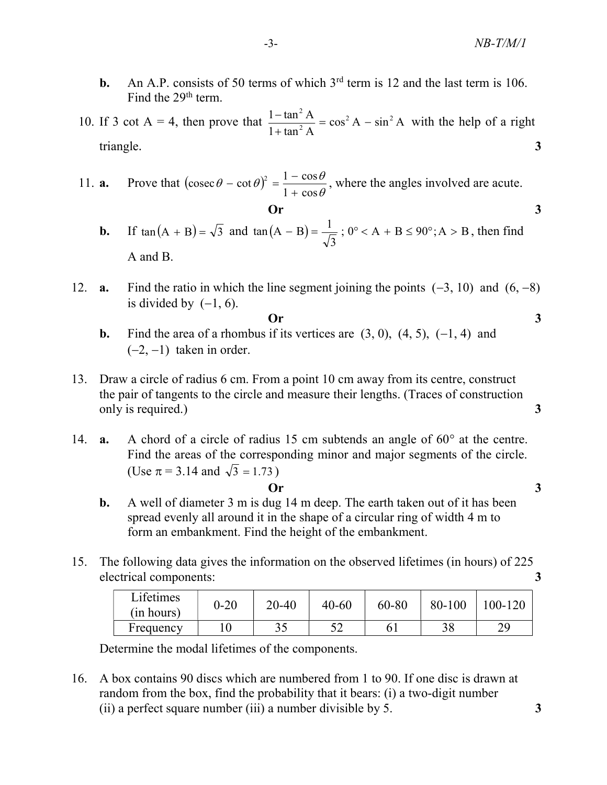- **b.** An A.P. consists of 50 terms of which  $3<sup>rd</sup>$  term is 12 and the last term is 106. Find the 29<sup>th</sup> term.
- 10. If 3 cot A = 4, then prove that  $\frac{1-\tan^{-1}A}{\tan^{-1}A} = \cos^2 A \sin^2 A$  $1 + \tan^2 A$  $1-\tan^2 A$   $2\cos^2 A$   $\sin^2 A$ 2 2  $=$  cos<sup>2</sup> A –  $+$  $\frac{-\tan^2 A}{2} = \cos^2 A - \sin^2 A$  with the help of a right triangle. 3 **11. a.** Prove that  $\left(\csc \theta - \cot \theta\right)^2 = \frac{1 - \cos \theta}{1 + \cos \theta}$ ,  $\theta \le \theta$ ,  $\theta \le 9^{\frac{11}{100}}$  and  $\theta$  and  $\theta$  and  $\theta$  and  $\theta$  and  $\theta$  and  $\theta$  and  $\theta$  and  $\theta$  and  $\theta$  and  $\theta$  and  $\theta$  and  $\theta$  and  $\theta$  and  $\theta$  and  $\theta$ **b.** An A.P. consists of 50 terms of which 3<sup>rd</sup> term is 12 and the last term is 106.<br>
Find the 29<sup>th</sup> term.<br>
10. If 3 cot A = 4, then prove that  $\frac{1-\tan^2 A}{1+\tan^2 A} = \cos^2 A - \sin^2 A$  with the help of a right triangle.<br>
3<br>
11.
- $\theta$  $(\theta - \cot \theta)^2 = \frac{1 - \cos \theta}{\cos \theta}$  $1 + \cos$  $\csc \theta - \cot \theta$ <sup>2</sup> =  $\frac{1 - \cos \theta}{1}$  $^{+}$  $(-\cot \theta)^2 = \frac{1 - \cos \theta}{\cos \theta}$ , where the angles involved are acute.
	- 3  $\tan(A - B) = \frac{1}{\sqrt{2}}$ ; 0° < A + B ≤ 90°; A > B, then find A and B.

 $\overline{Or}$  3

- 12. **a.** Find the ratio in which the line segment joining the points  $(-3, 10)$  and  $(6, -8)$ is divided by  $(-1, 6)$ .
- $\overline{Or}$  3
	- **b.** Find the area of a rhombus if its vertices are  $(3, 0)$ ,  $(4, 5)$ ,  $(-1, 4)$  and  $(-2, -1)$  taken in order.
- 13. Draw a circle of radius 6 cm. From a point 10 cm away from its centre, construct the pair of tangents to the circle and measure their lengths. (Traces of construction only is required.) 3
- 14. **a.** A chord of a circle of radius 15 cm subtends an angle of  $60^\circ$  at the centre. Find the areas of the corresponding minor and major segments of the circle. (Use  $\pi = 3.14$  and  $\sqrt{3} = 1.73$ )
	- Or 3
	- b. A well of diameter 3 m is dug 14 m deep. The earth taken out of it has been spread evenly all around it in the shape of a circular ring of width 4 m to form an embankment. Find the height of the embankment.
- 15. The following data gives the information on the observed lifetimes (in hours) of 225 electrical components: 3

| Lifetimes<br>(in hours) | $0 - 20$ | 20-40 | $40 - 60$         | 60-80 | 80-100 | 100-120 |
|-------------------------|----------|-------|-------------------|-------|--------|---------|
| Frequency               |          | ں ر   | $\epsilon$<br>ے ب |       | 38     | dΩ      |

Determine the modal lifetimes of the components.

16. A box contains 90 discs which are numbered from 1 to 90. If one disc is drawn at random from the box, find the probability that it bears: (i) a two-digit number (ii) a perfect square number (iii) a number divisible by 5.  $\frac{3}{2}$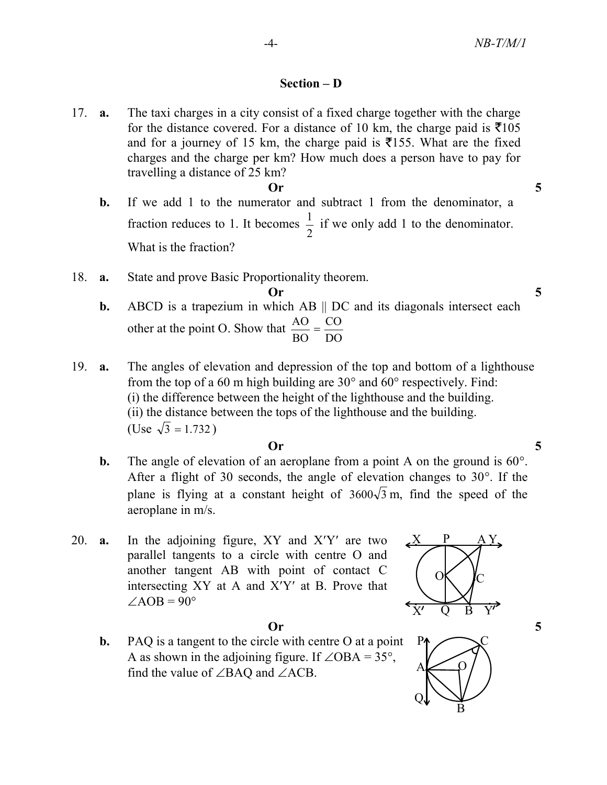# Section – D

- 17. a. The taxi charges in a city consist of a fixed charge together with the charge for the distance covered. For a distance of 10 km, the charge paid is  $\bar{\tau}$ 105 and for a journey of 15 km, the charge paid is  $\overline{5}$ 155. What are the fixed charges and the charge per km? How much does a person have to pay for travelling a distance of 25 km?  $\sigma$  5
	- b. If we add 1 to the numerator and subtract 1 from the denominator, a fraction reduces to 1. It becomes 2  $\frac{1}{6}$  if we only add 1 to the denominator. What is the fraction?
- 18. a. State and prove Basic Proportionality theorem.

$$
Or \qquad \qquad 5
$$

- **b.** ABCD is a trapezium in which AB  $\parallel$  DC and its diagonals intersect each other at the point O. Show that DO CO BO  $\frac{AO}{A}$  =
- 19. a. The angles of elevation and depression of the top and bottom of a lighthouse from the top of a 60 m high building are  $30^{\circ}$  and  $60^{\circ}$  respectively. Find: (i) the difference between the height of the lighthouse and the building. (ii) the distance between the tops of the lighthouse and the building. (Use  $\sqrt{3} = 1.732$ )

### Or 5

- **b.** The angle of elevation of an aeroplane from a point A on the ground is  $60^\circ$ . After a flight of 30 seconds, the angle of elevation changes to  $30^\circ$ . If the plane is flying at a constant height of  $3600\sqrt{3}$  m, find the speed of the aeroplane in m/s.
- 20. **a.** In the adjoining figure,  $XY$  and  $X'Y'$  are two parallel tangents to a circle with centre O and another tangent AB with point of contact C intersecting  $XY$  at A and  $X'Y'$  at B. Prove that  $\angle AOB = 90^\circ$



 b. PAQ is a tangent to the circle with centre O at a point A as shown in the adjoining figure. If  $\angle OBA = 35^\circ$ , find the value of  $\angle$ BAQ and  $\angle$ ACB.